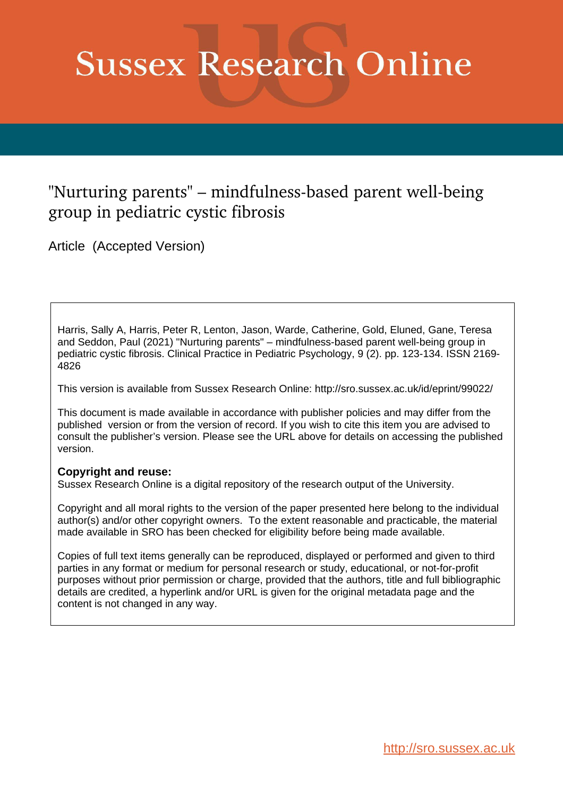# **Sussex Research Online**

# "Nurturing parents" - mindfulness-based parent well-being group in pediatric cystic fibrosis

Article (Accepted Version)

Harris, Sally A, Harris, Peter R, Lenton, Jason, Warde, Catherine, Gold, Eluned, Gane, Teresa and Seddon, Paul (2021) "Nurturing parents" – mindfulness-based parent well-being group in pediatric cystic fibrosis. Clinical Practice in Pediatric Psychology, 9 (2). pp. 123-134. ISSN 2169- 4826

This version is available from Sussex Research Online: http://sro.sussex.ac.uk/id/eprint/99022/

This document is made available in accordance with publisher policies and may differ from the published version or from the version of record. If you wish to cite this item you are advised to consult the publisher's version. Please see the URL above for details on accessing the published version.

# **Copyright and reuse:**

Sussex Research Online is a digital repository of the research output of the University.

Copyright and all moral rights to the version of the paper presented here belong to the individual author(s) and/or other copyright owners. To the extent reasonable and practicable, the material made available in SRO has been checked for eligibility before being made available.

Copies of full text items generally can be reproduced, displayed or performed and given to third parties in any format or medium for personal research or study, educational, or not-for-profit purposes without prior permission or charge, provided that the authors, title and full bibliographic details are credited, a hyperlink and/or URL is given for the original metadata page and the content is not changed in any way.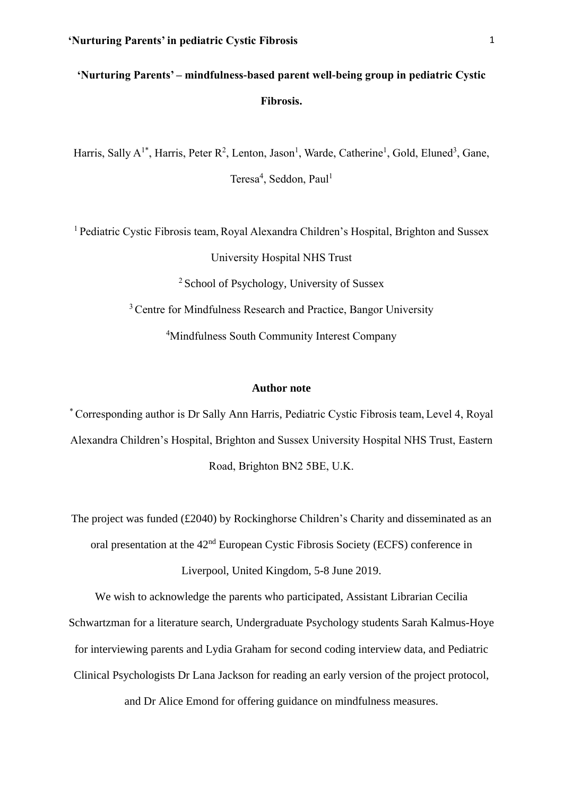# **'Nurturing Parents' – mindfulness-based parent well-being group in pediatric Cystic Fibrosis.**

Harris, Sally A<sup>1\*</sup>, Harris, Peter R<sup>2</sup>, Lenton, Jason<sup>1</sup>, Warde, Catherine<sup>1</sup>, Gold, Eluned<sup>3</sup>, Gane, Teresa<sup>4</sup>, Seddon, Paul<sup>1</sup>

<sup>1</sup> Pediatric Cystic Fibrosis team, Royal Alexandra Children's Hospital, Brighton and Sussex University Hospital NHS Trust <sup>2</sup> School of Psychology, University of Sussex <sup>3</sup> Centre for Mindfulness Research and Practice, Bangor University <sup>4</sup>Mindfulness South Community Interest Company

#### **Author note**

\* Corresponding author is Dr Sally Ann Harris, Pediatric Cystic Fibrosis team, Level 4, Royal Alexandra Children's Hospital, Brighton and Sussex University Hospital NHS Trust, Eastern Road, Brighton BN2 5BE, U.K.

The project was funded (£2040) by Rockinghorse Children's Charity and disseminated as an oral presentation at the 42nd European Cystic Fibrosis Society (ECFS) conference in Liverpool, United Kingdom, 5-8 June 2019.

We wish to acknowledge the parents who participated, Assistant Librarian Cecilia

Schwartzman for a literature search, Undergraduate Psychology students Sarah Kalmus-Hoye

for interviewing parents and Lydia Graham for second coding interview data, and Pediatric

Clinical Psychologists Dr Lana Jackson for reading an early version of the project protocol,

and Dr Alice Emond for offering guidance on mindfulness measures.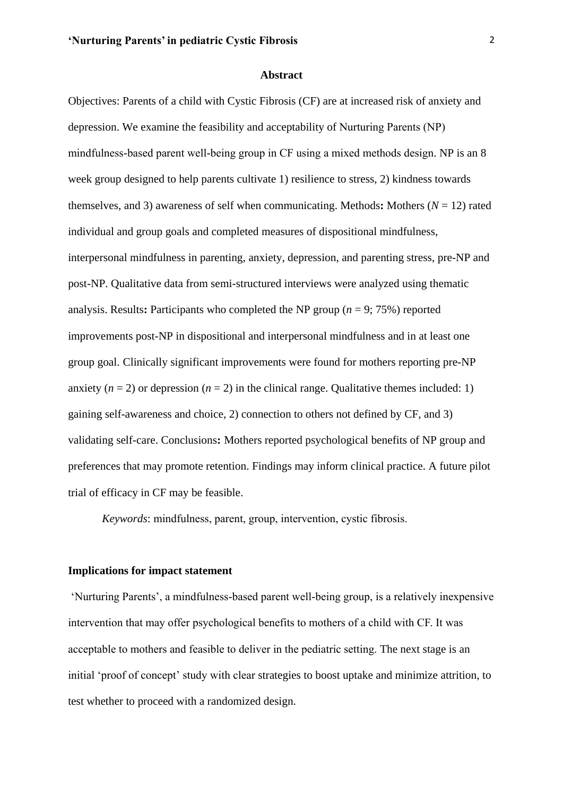#### **Abstract**

Objectives: Parents of a child with Cystic Fibrosis (CF) are at increased risk of anxiety and depression. We examine the feasibility and acceptability of Nurturing Parents (NP) mindfulness-based parent well-being group in CF using a mixed methods design. NP is an 8 week group designed to help parents cultivate 1) resilience to stress, 2) kindness towards themselves, and 3) awareness of self when communicating. Methods**:** Mothers (*N* = 12) rated individual and group goals and completed measures of dispositional mindfulness, interpersonal mindfulness in parenting, anxiety, depression, and parenting stress, pre-NP and post-NP. Qualitative data from semi-structured interviews were analyzed using thematic analysis. Results: Participants who completed the NP group ( $n = 9$ ; 75%) reported improvements post-NP in dispositional and interpersonal mindfulness and in at least one group goal. Clinically significant improvements were found for mothers reporting pre-NP anxiety  $(n = 2)$  or depression  $(n = 2)$  in the clinical range. Qualitative themes included: 1) gaining self-awareness and choice, 2) connection to others not defined by CF, and 3) validating self-care. Conclusions**:** Mothers reported psychological benefits of NP group and preferences that may promote retention. Findings may inform clinical practice. A future pilot trial of efficacy in CF may be feasible.

*Keywords*: mindfulness, parent, group, intervention, cystic fibrosis.

#### **Implications for impact statement**

'Nurturing Parents', a mindfulness-based parent well-being group, is a relatively inexpensive intervention that may offer psychological benefits to mothers of a child with CF. It was acceptable to mothers and feasible to deliver in the pediatric setting. The next stage is an initial 'proof of concept' study with clear strategies to boost uptake and minimize attrition, to test whether to proceed with a randomized design.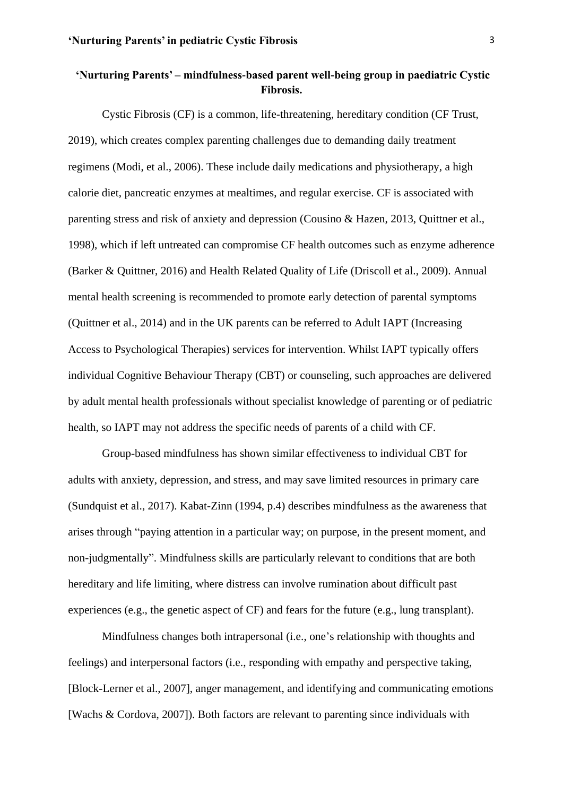# **'Nurturing Parents' – mindfulness-based parent well-being group in paediatric Cystic Fibrosis.**

Cystic Fibrosis (CF) is a common, life-threatening, hereditary condition (CF Trust, 2019), which creates complex parenting challenges due to demanding daily treatment regimens (Modi, et al., 2006). These include daily medications and physiotherapy, a high calorie diet, pancreatic enzymes at mealtimes, and regular exercise. CF is associated with parenting stress and risk of anxiety and depression (Cousino & Hazen, 2013, Quittner et al., 1998), which if left untreated can compromise CF health outcomes such as enzyme adherence (Barker & Quittner, 2016) and Health Related Quality of Life (Driscoll et al., 2009). Annual mental health screening is recommended to promote early detection of parental symptoms (Quittner et al., 2014) and in the UK parents can be referred to Adult IAPT (Increasing Access to Psychological Therapies) services for intervention. Whilst IAPT typically offers individual Cognitive Behaviour Therapy (CBT) or counseling, such approaches are delivered by adult mental health professionals without specialist knowledge of parenting or of pediatric health, so IAPT may not address the specific needs of parents of a child with CF.

Group-based mindfulness has shown similar effectiveness to individual CBT for adults with anxiety, depression, and stress, and may save limited resources in primary care (Sundquist et al., 2017). Kabat-Zinn (1994, p.4) describes mindfulness as the awareness that arises through "paying attention in a particular way; on purpose, in the present moment, and non-judgmentally". Mindfulness skills are particularly relevant to conditions that are both hereditary and life limiting, where distress can involve rumination about difficult past experiences (e.g., the genetic aspect of CF) and fears for the future (e.g., lung transplant).

Mindfulness changes both intrapersonal (i.e., one's relationship with thoughts and feelings) and interpersonal factors (i.e., responding with empathy and perspective taking, [Block-Lerner et al., 2007], anger management, and identifying and communicating emotions [Wachs & Cordova, 2007]). Both factors are relevant to parenting since individuals with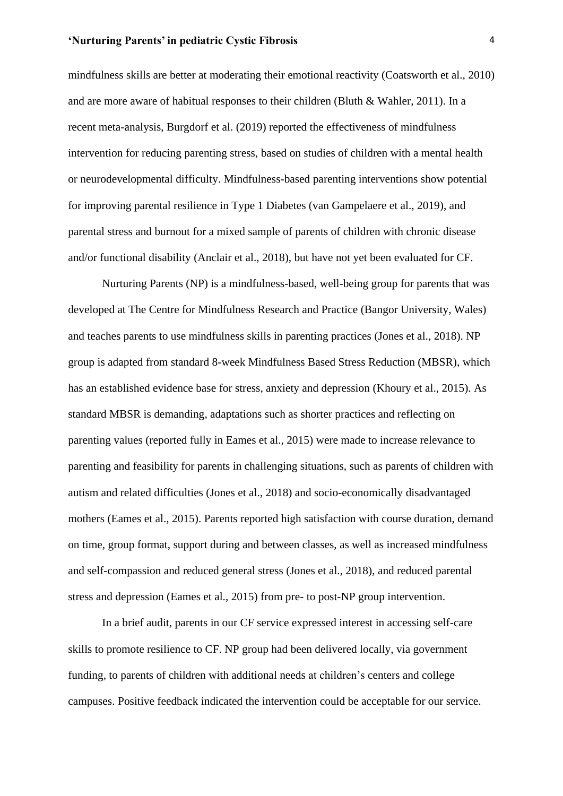mindfulness skills are better at moderating their emotional reactivity (Coatsworth et al., 2010) and are more aware of habitual responses to their children (Bluth & Wahler, 2011). In a recent meta-analysis, Burgdorf et al. (2019) reported the effectiveness of mindfulness intervention for reducing parenting stress, based on studies of children with a mental health or neurodevelopmental difficulty. Mindfulness-based parenting interventions show potential for improving parental resilience in Type 1 Diabetes (van Gampelaere et al., 2019), and parental stress and burnout for a mixed sample of parents of children with chronic disease and/or functional disability (Anclair et al., 2018), but have not yet been evaluated for CF.

Nurturing Parents (NP) is a mindfulness-based, well-being group for parents that was developed at The Centre for Mindfulness Research and Practice (Bangor University, Wales) and teaches parents to use mindfulness skills in parenting practices (Jones et al., 2018). NP group is adapted from standard 8-week Mindfulness Based Stress Reduction (MBSR), which has an established evidence base for stress, anxiety and depression (Khoury et al., 2015). As standard MBSR is demanding, adaptations such as shorter practices and reflecting on parenting values (reported fully in Eames et al., 2015) were made to increase relevance to parenting and feasibility for parents in challenging situations, such as parents of children with autism and related difficulties (Jones et al., 2018) and socio-economically disadvantaged mothers (Eames et al., 2015). Parents reported high satisfaction with course duration, demand on time, group format, support during and between classes, as well as increased mindfulness and self-compassion and reduced general stress (Jones et al., 2018), and reduced parental stress and depression (Eames et al., 2015) from pre- to post-NP group intervention.

In a brief audit, parents in our CF service expressed interest in accessing self-care skills to promote resilience to CF. NP group had been delivered locally, via government funding, to parents of children with additional needs at children's centers and college campuses. Positive feedback indicated the intervention could be acceptable for our service.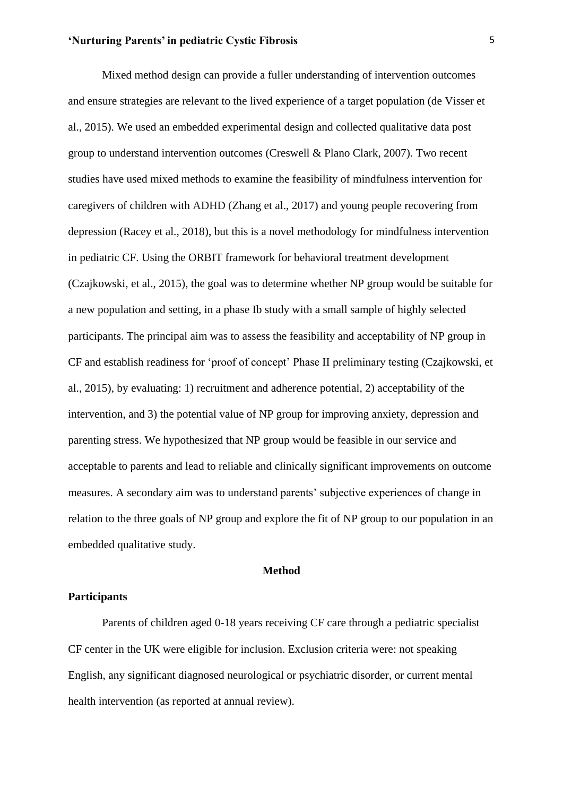Mixed method design can provide a fuller understanding of intervention outcomes and ensure strategies are relevant to the lived experience of a target population (de Visser et al., 2015). We used an embedded experimental design and collected qualitative data post group to understand intervention outcomes (Creswell & Plano Clark, 2007). Two recent studies have used mixed methods to examine the feasibility of mindfulness intervention for caregivers of children with ADHD (Zhang et al., 2017) and young people recovering from depression (Racey et al., 2018), but this is a novel methodology for mindfulness intervention in pediatric CF. Using the ORBIT framework for behavioral treatment development (Czajkowski, et al., 2015), the goal was to determine whether NP group would be suitable for a new population and setting, in a phase Ib study with a small sample of highly selected participants. The principal aim was to assess the feasibility and acceptability of NP group in CF and establish readiness for 'proof of concept' Phase II preliminary testing (Czajkowski, et al., 2015), by evaluating: 1) recruitment and adherence potential, 2) acceptability of the intervention, and 3) the potential value of NP group for improving anxiety, depression and parenting stress. We hypothesized that NP group would be feasible in our service and acceptable to parents and lead to reliable and clinically significant improvements on outcome measures. A secondary aim was to understand parents' subjective experiences of change in relation to the three goals of NP group and explore the fit of NP group to our population in an embedded qualitative study.

#### **Method**

## **Participants**

Parents of children aged 0-18 years receiving CF care through a pediatric specialist CF center in the UK were eligible for inclusion. Exclusion criteria were: not speaking English, any significant diagnosed neurological or psychiatric disorder, or current mental health intervention (as reported at annual review).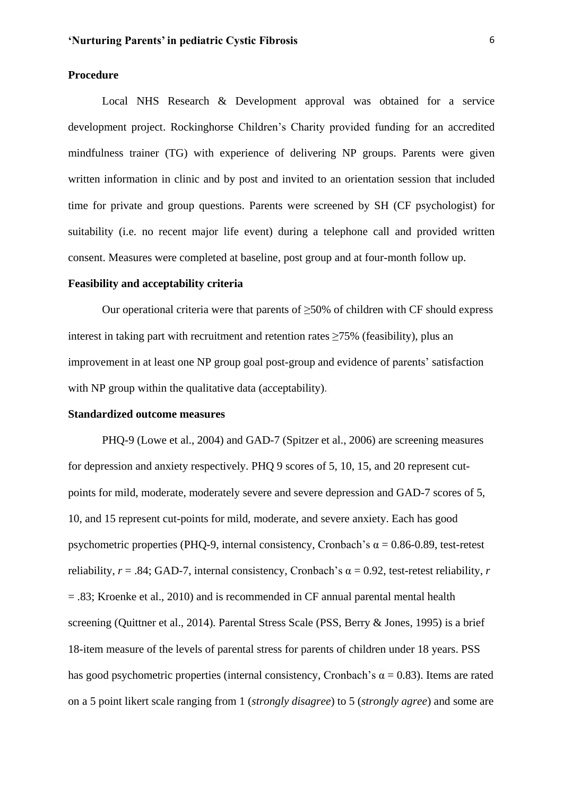#### **Procedure**

Local NHS Research & Development approval was obtained for a service development project. Rockinghorse Children's Charity provided funding for an accredited mindfulness trainer (TG) with experience of delivering NP groups. Parents were given written information in clinic and by post and invited to an orientation session that included time for private and group questions. Parents were screened by SH (CF psychologist) for suitability (i.e. no recent major life event) during a telephone call and provided written consent. Measures were completed at baseline, post group and at four-month follow up.

#### **Feasibility and acceptability criteria**

Our operational criteria were that parents of  $\geq$ 50% of children with CF should express interest in taking part with recruitment and retention rates  $\geq$ 75% (feasibility), plus an improvement in at least one NP group goal post-group and evidence of parents' satisfaction with NP group within the qualitative data (acceptability).

## **Standardized outcome measures**

PHQ-9 (Lowe et al., 2004) and GAD-7 (Spitzer et al., 2006) are screening measures for depression and anxiety respectively. PHQ 9 scores of 5, 10, 15, and 20 represent cutpoints for mild, moderate, moderately severe and severe depression and GAD-7 scores of 5, 10, and 15 represent cut-points for mild, moderate, and severe anxiety. Each has good psychometric properties (PHQ-9, internal consistency, Cronbach's  $\alpha = 0.86$ -0.89, test-retest reliability,  $r = .84$ ; GAD-7, internal consistency, Cronbach's  $\alpha = 0.92$ , test-retest reliability, *r*  $= 0.83$ ; Kroenke et al., 2010) and is recommended in CF annual parental mental health screening (Quittner et al., 2014)*.* Parental Stress Scale (PSS, Berry & Jones, 1995) is a brief 18-item measure of the levels of parental stress for parents of children under 18 years. PSS has good psychometric properties (internal consistency, Cronbach's  $\alpha = 0.83$ ). Items are rated on a 5 point likert scale ranging from 1 (*strongly disagree*) to 5 (*strongly agree*) and some are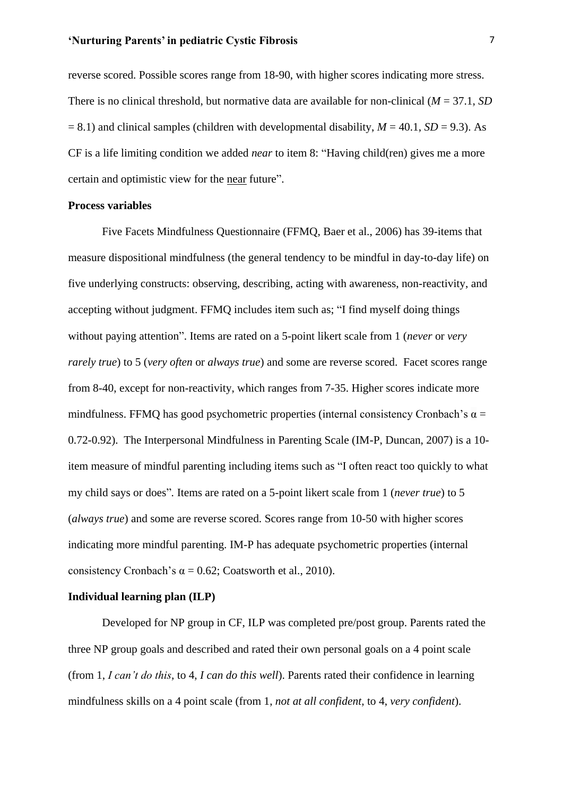reverse scored. Possible scores range from 18-90, with higher scores indicating more stress. There is no clinical threshold, but normative data are available for non-clinical (*M* = 37.1, *SD*  $= 8.1$ ) and clinical samples (children with developmental disability,  $M = 40.1$ ,  $SD = 9.3$ ). As CF is a life limiting condition we added *near* to item 8: "Having child(ren) gives me a more certain and optimistic view for the near future".

#### **Process variables**

Five Facets Mindfulness Questionnaire (FFMQ, Baer et al., 2006) has 39-items that measure dispositional mindfulness (the general tendency to be mindful in day-to-day life) on five underlying constructs: observing, describing, acting with awareness, non-reactivity, and accepting without judgment. FFMQ includes item such as; "I find myself doing things without paying attention". Items are rated on a 5-point likert scale from 1 (*never* or *very rarely true*) to 5 (*very often* or *always true*) and some are reverse scored. Facet scores range from 8-40, except for non-reactivity, which ranges from 7-35. Higher scores indicate more mindfulness. FFMQ has good psychometric properties (internal consistency Cronbach's  $\alpha$  = 0.72-0.92). The Interpersonal Mindfulness in Parenting Scale (IM-P, Duncan, 2007) is a 10 item measure of mindful parenting including items such as "I often react too quickly to what my child says or does"*.* Items are rated on a 5-point likert scale from 1 (*never true*) to 5 (*always true*) and some are reverse scored. Scores range from 10-50 with higher scores indicating more mindful parenting. IM-P has adequate psychometric properties (internal consistency Cronbach's  $\alpha = 0.62$ ; Coatsworth et al., 2010).

#### **Individual learning plan (ILP)**

Developed for NP group in CF, ILP was completed pre/post group. Parents rated the three NP group goals and described and rated their own personal goals on a 4 point scale (from 1, *I can't do this,* to 4, *I can do this well*). Parents rated their confidence in learning mindfulness skills on a 4 point scale (from 1, *not at all confident*, to 4, *very confident*).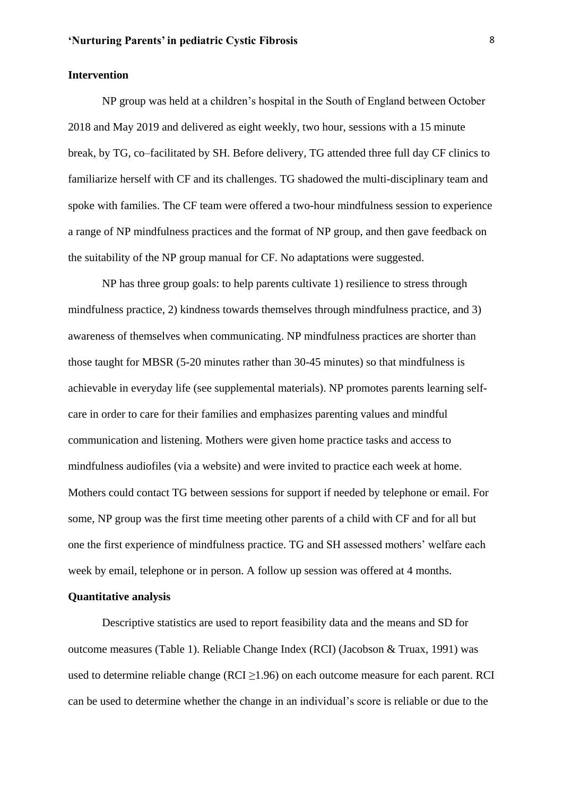#### **Intervention**

NP group was held at a children's hospital in the South of England between October 2018 and May 2019 and delivered as eight weekly, two hour, sessions with a 15 minute break, by TG, co–facilitated by SH. Before delivery, TG attended three full day CF clinics to familiarize herself with CF and its challenges. TG shadowed the multi-disciplinary team and spoke with families. The CF team were offered a two-hour mindfulness session to experience a range of NP mindfulness practices and the format of NP group, and then gave feedback on the suitability of the NP group manual for CF. No adaptations were suggested.

NP has three group goals: to help parents cultivate 1) resilience to stress through mindfulness practice, 2) kindness towards themselves through mindfulness practice, and 3) awareness of themselves when communicating. NP mindfulness practices are shorter than those taught for MBSR (5-20 minutes rather than 30-45 minutes) so that mindfulness is achievable in everyday life (see supplemental materials). NP promotes parents learning selfcare in order to care for their families and emphasizes parenting values and mindful communication and listening. Mothers were given home practice tasks and access to mindfulness audiofiles (via a website) and were invited to practice each week at home. Mothers could contact TG between sessions for support if needed by telephone or email. For some, NP group was the first time meeting other parents of a child with CF and for all but one the first experience of mindfulness practice. TG and SH assessed mothers' welfare each week by email, telephone or in person. A follow up session was offered at 4 months.

## **Quantitative analysis**

Descriptive statistics are used to report feasibility data and the means and SD for outcome measures (Table 1). Reliable Change Index (RCI) (Jacobson & Truax, 1991) was used to determine reliable change ( $RCI \ge 1.96$ ) on each outcome measure for each parent. RCI can be used to determine whether the change in an individual's score is reliable or due to the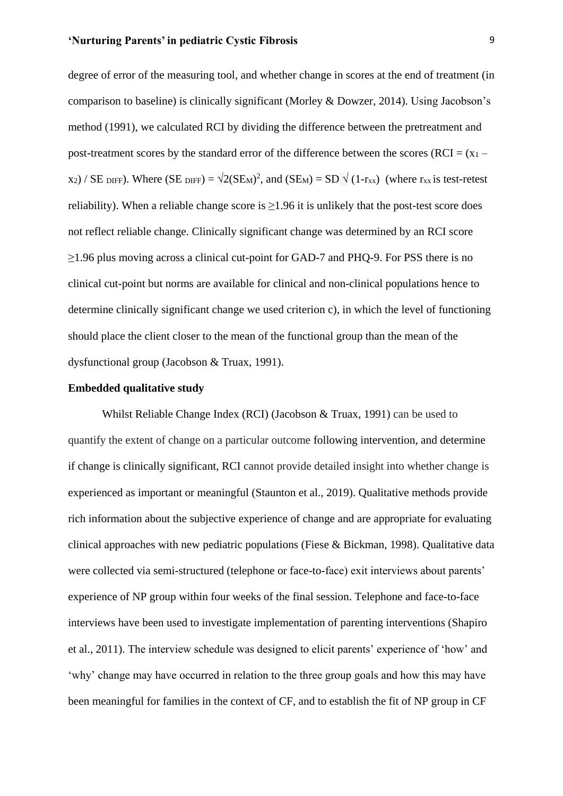degree of error of the measuring tool, and whether change in scores at the end of treatment (in comparison to baseline) is clinically significant (Morley & Dowzer, 2014). Using Jacobson's method (1991), we calculated RCI by dividing the difference between the pretreatment and post-treatment scores by the standard error of the difference between the scores (RCI =  $(x_1$  $x_2$  / SE DIFF). Where (SE DIFF) =  $\sqrt{2(SE_M)^2}$ , and (SEM) = SD  $\sqrt{(1-r_{xx})}$  (where r<sub>xx</sub> is test-retest reliability). When a reliable change score is  $\geq$ 1.96 it is unlikely that the post-test score does not reflect reliable change. Clinically significant change was determined by an RCI score  $\geq$ 1.96 plus moving across a clinical cut-point for GAD-7 and PHQ-9. For PSS there is no clinical cut-point but norms are available for clinical and non-clinical populations hence to determine clinically significant change we used criterion c), in which the level of functioning should place the client closer to the mean of the functional group than the mean of the dysfunctional group (Jacobson & Truax, 1991).

#### **Embedded qualitative study**

Whilst Reliable Change Index (RCI) (Jacobson & Truax, 1991) can be used to quantify the extent of change on a particular outcome following intervention, and determine if change is clinically significant, RCI cannot provide detailed insight into whether change is experienced as important or meaningful (Staunton et al., 2019). Qualitative methods provide rich information about the subjective experience of change and are appropriate for evaluating clinical approaches with new pediatric populations (Fiese & Bickman, 1998). Qualitative data were collected via semi-structured (telephone or face-to-face) exit interviews about parents' experience of NP group within four weeks of the final session. Telephone and face-to-face interviews have been used to investigate implementation of parenting interventions (Shapiro et al., 2011). The interview schedule was designed to elicit parents' experience of 'how' and 'why' change may have occurred in relation to the three group goals and how this may have been meaningful for families in the context of CF, and to establish the fit of NP group in CF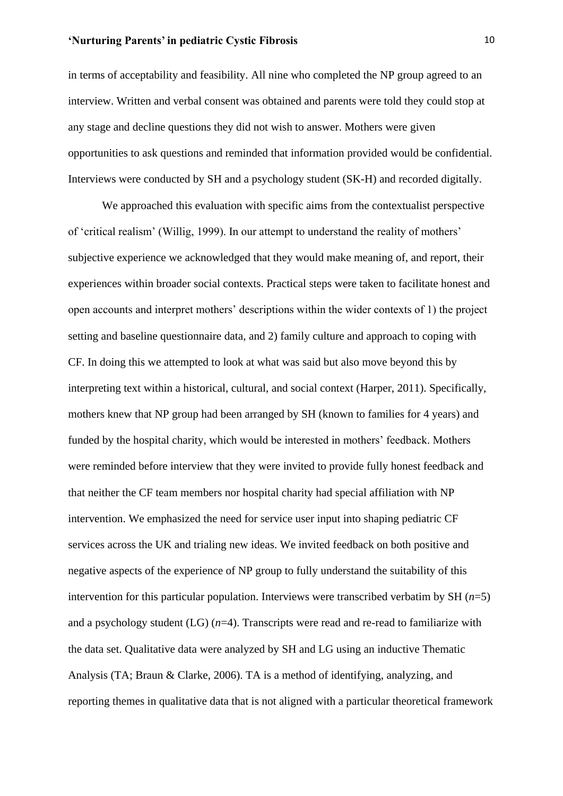in terms of acceptability and feasibility. All nine who completed the NP group agreed to an interview. Written and verbal consent was obtained and parents were told they could stop at any stage and decline questions they did not wish to answer. Mothers were given opportunities to ask questions and reminded that information provided would be confidential. Interviews were conducted by SH and a psychology student (SK-H) and recorded digitally.

We approached this evaluation with specific aims from the contextualist perspective of 'critical realism' (Willig, 1999). In our attempt to understand the reality of mothers' subjective experience we acknowledged that they would make meaning of, and report, their experiences within broader social contexts. Practical steps were taken to facilitate honest and open accounts and interpret mothers' descriptions within the wider contexts of 1) the project setting and baseline questionnaire data, and 2) family culture and approach to coping with CF. In doing this we attempted to look at what was said but also move beyond this by interpreting text within a historical, cultural, and social context (Harper, 2011). Specifically, mothers knew that NP group had been arranged by SH (known to families for 4 years) and funded by the hospital charity, which would be interested in mothers' feedback. Mothers were reminded before interview that they were invited to provide fully honest feedback and that neither the CF team members nor hospital charity had special affiliation with NP intervention. We emphasized the need for service user input into shaping pediatric CF services across the UK and trialing new ideas. We invited feedback on both positive and negative aspects of the experience of NP group to fully understand the suitability of this intervention for this particular population. Interviews were transcribed verbatim by SH (*n*=5) and a psychology student (LG) (*n*=4). Transcripts were read and re-read to familiarize with the data set. Qualitative data were analyzed by SH and LG using an inductive Thematic Analysis (TA; Braun & Clarke, 2006). TA is a method of identifying, analyzing, and reporting themes in qualitative data that is not aligned with a particular theoretical framework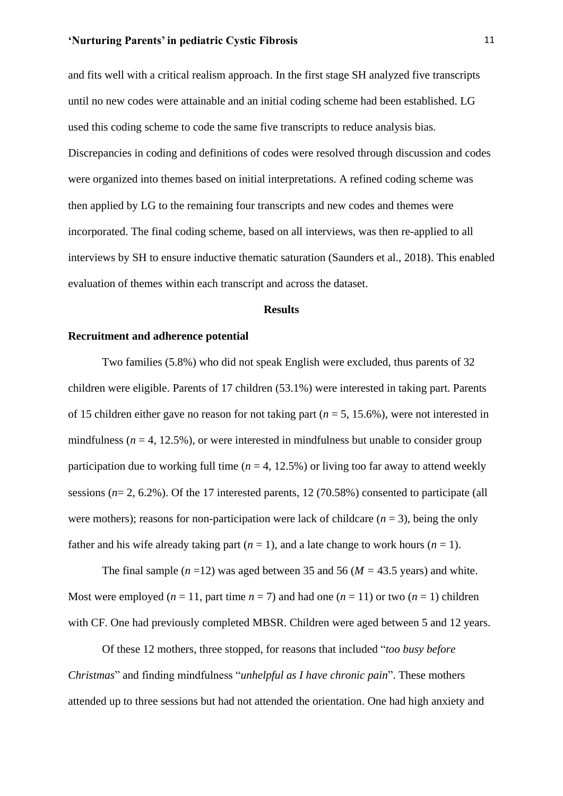and fits well with a critical realism approach. In the first stage SH analyzed five transcripts until no new codes were attainable and an initial coding scheme had been established. LG used this coding scheme to code the same five transcripts to reduce analysis bias. Discrepancies in coding and definitions of codes were resolved through discussion and codes were organized into themes based on initial interpretations. A refined coding scheme was then applied by LG to the remaining four transcripts and new codes and themes were incorporated. The final coding scheme, based on all interviews, was then re-applied to all interviews by SH to ensure inductive thematic saturation (Saunders et al., 2018). This enabled evaluation of themes within each transcript and across the dataset.

#### **Results**

#### **Recruitment and adherence potential**

Two families (5.8%) who did not speak English were excluded, thus parents of 32 children were eligible. Parents of 17 children (53.1%) were interested in taking part. Parents of 15 children either gave no reason for not taking part ( $n = 5$ , 15.6%), were not interested in mindfulness ( $n = 4$ , 12.5%), or were interested in mindfulness but unable to consider group participation due to working full time  $(n = 4, 12.5\%)$  or living too far away to attend weekly sessions  $(n=2, 6.2\%)$ . Of the 17 interested parents, 12 (70.58%) consented to participate (all were mothers); reasons for non-participation were lack of childcare  $(n = 3)$ , being the only father and his wife already taking part  $(n = 1)$ , and a late change to work hours  $(n = 1)$ .

The final sample  $(n=12)$  was aged between 35 and 56  $(M = 43.5$  years) and white. Most were employed ( $n = 11$ , part time  $n = 7$ ) and had one ( $n = 11$ ) or two ( $n = 1$ ) children with CF. One had previously completed MBSR. Children were aged between 5 and 12 years.

Of these 12 mothers, three stopped, for reasons that included "*too busy before Christmas*" and finding mindfulness "*unhelpful as I have chronic pain*". These mothers attended up to three sessions but had not attended the orientation. One had high anxiety and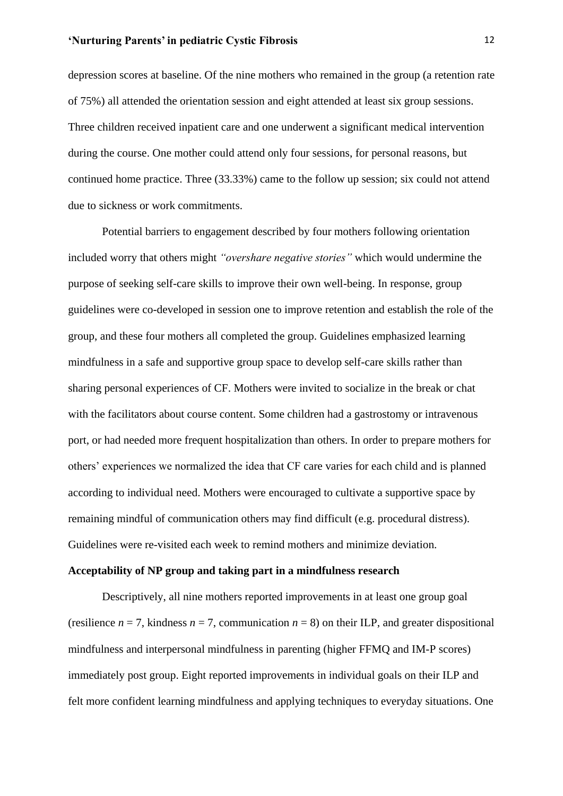depression scores at baseline. Of the nine mothers who remained in the group (a retention rate of 75%) all attended the orientation session and eight attended at least six group sessions. Three children received inpatient care and one underwent a significant medical intervention during the course. One mother could attend only four sessions, for personal reasons, but continued home practice. Three (33.33%) came to the follow up session; six could not attend due to sickness or work commitments.

Potential barriers to engagement described by four mothers following orientation included worry that others might *"overshare negative stories"* which would undermine the purpose of seeking self-care skills to improve their own well-being. In response, group guidelines were co-developed in session one to improve retention and establish the role of the group, and these four mothers all completed the group. Guidelines emphasized learning mindfulness in a safe and supportive group space to develop self-care skills rather than sharing personal experiences of CF. Mothers were invited to socialize in the break or chat with the facilitators about course content. Some children had a gastrostomy or intravenous port, or had needed more frequent hospitalization than others. In order to prepare mothers for others' experiences we normalized the idea that CF care varies for each child and is planned according to individual need. Mothers were encouraged to cultivate a supportive space by remaining mindful of communication others may find difficult (e.g. procedural distress). Guidelines were re-visited each week to remind mothers and minimize deviation.

#### **Acceptability of NP group and taking part in a mindfulness research**

Descriptively, all nine mothers reported improvements in at least one group goal (resilience  $n = 7$ , kindness  $n = 7$ , communication  $n = 8$ ) on their ILP, and greater dispositional mindfulness and interpersonal mindfulness in parenting (higher FFMQ and IM-P scores) immediately post group. Eight reported improvements in individual goals on their ILP and felt more confident learning mindfulness and applying techniques to everyday situations. One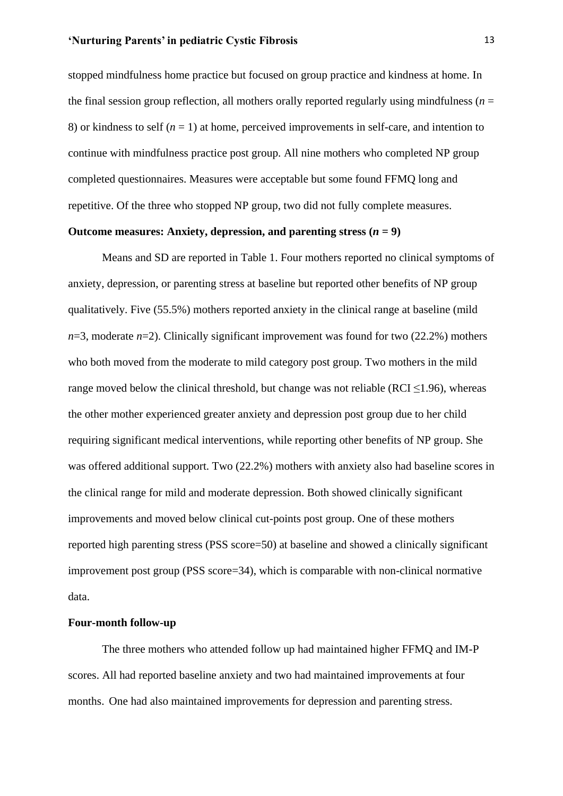stopped mindfulness home practice but focused on group practice and kindness at home. In the final session group reflection, all mothers orally reported regularly using mindfulness ( $n =$ 8) or kindness to self  $(n = 1)$  at home, perceived improvements in self-care, and intention to continue with mindfulness practice post group. All nine mothers who completed NP group completed questionnaires. Measures were acceptable but some found FFMQ long and repetitive. Of the three who stopped NP group, two did not fully complete measures.

#### Outcome measures: Anxiety, depression, and parenting stress  $(n = 9)$

Means and SD are reported in Table 1. Four mothers reported no clinical symptoms of anxiety, depression, or parenting stress at baseline but reported other benefits of NP group qualitatively. Five (55.5%) mothers reported anxiety in the clinical range at baseline (mild  $n=3$ , moderate  $n=2$ ). Clinically significant improvement was found for two (22.2%) mothers who both moved from the moderate to mild category post group. Two mothers in the mild range moved below the clinical threshold, but change was not reliable (RCI  $\leq$ 1.96), whereas the other mother experienced greater anxiety and depression post group due to her child requiring significant medical interventions, while reporting other benefits of NP group. She was offered additional support. Two (22.2%) mothers with anxiety also had baseline scores in the clinical range for mild and moderate depression. Both showed clinically significant improvements and moved below clinical cut-points post group. One of these mothers reported high parenting stress (PSS score=50) at baseline and showed a clinically significant improvement post group (PSS score=34), which is comparable with non-clinical normative data.

#### **Four-month follow-up**

The three mothers who attended follow up had maintained higher FFMQ and IM-P scores. All had reported baseline anxiety and two had maintained improvements at four months. One had also maintained improvements for depression and parenting stress.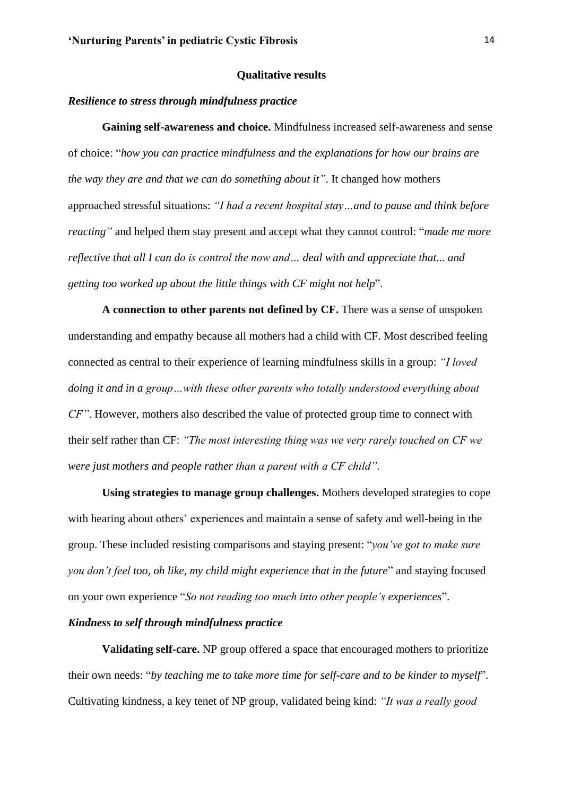#### **Qualitative results**

#### *Resilience to stress through mindfulness practice*

**Gaining self-awareness and choice.** Mindfulness increased self-awareness and sense of choice: "*how you can practice mindfulness and the explanations for how our brains are the way they are and that we can do something about it"*. It changed how mothers approached stressful situations: *"I had a recent hospital stay…and to pause and think before reacting"* and helped them stay present and accept what they cannot control: "*made me more reflective that all I can do is control the now and… deal with and appreciate that... and getting too worked up about the little things with CF might not help*".

**A connection to other parents not defined by CF.** There was a sense of unspoken understanding and empathy because all mothers had a child with CF. Most described feeling connected as central to their experience of learning mindfulness skills in a group: *"I loved doing it and in a group…with these other parents who totally understood everything about CF"*. However*,* mothers also described the value of protected group time to connect with their self rather than CF: *"The most interesting thing was we very rarely touched on CF we were just mothers and people rather than a parent with a CF child"*.

**Using strategies to manage group challenges.** Mothers developed strategies to cope with hearing about others' experiences and maintain a sense of safety and well-being in the group. These included resisting comparisons and staying present: "*you've got to make sure you don't feel too, oh like, my child might experience that in the future*" and staying focused on your own experience "*So not reading too much into other people's experiences*".

#### *Kindness to self through mindfulness practice*

**Validating self-care.** NP group offered a space that encouraged mothers to prioritize their own needs: "*by teaching me to take more time for self-care and to be kinder to myself*". Cultivating kindness, a key tenet of NP group, validated being kind: *"It was a really good*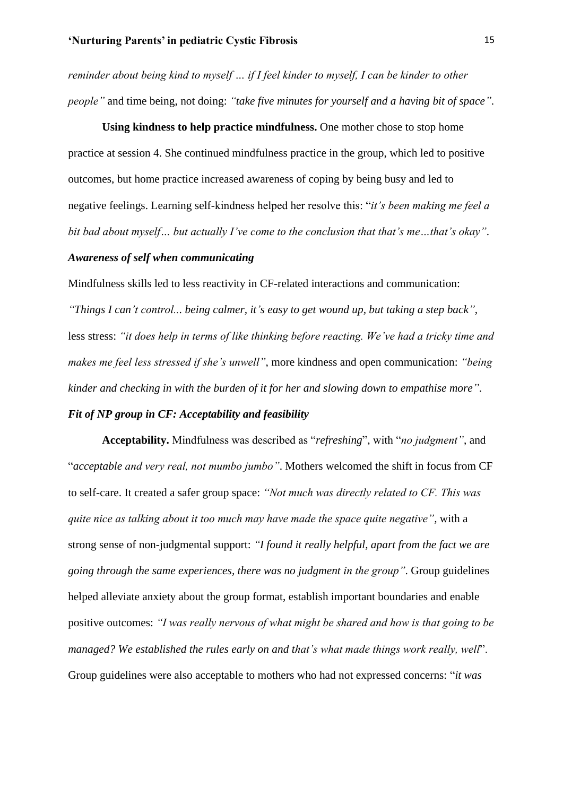*reminder about being kind to myself … if I feel kinder to myself, I can be kinder to other people"* and time being, not doing: *"take five minutes for yourself and a having bit of space"*.

**Using kindness to help practice mindfulness.** One mother chose to stop home practice at session 4. She continued mindfulness practice in the group, which led to positive outcomes, but home practice increased awareness of coping by being busy and led to negative feelings. Learning self-kindness helped her resolve this: "*it's been making me feel a bit bad about myself… but actually I've come to the conclusion that that's me…that's okay"*.

#### *Awareness of self when communicating*

Mindfulness skills led to less reactivity in CF-related interactions and communication:

*"Things I can't control... being calmer, it's easy to get wound up, but taking a step back"*, less stress: *"it does help in terms of like thinking before reacting. We've had a tricky time and makes me feel less stressed if she's unwell"*, more kindness and open communication: *"being kinder and checking in with the burden of it for her and slowing down to empathise more"*.

## *Fit of NP group in CF: Acceptability and feasibility*

**Acceptability.** Mindfulness was described as "*refreshing*", with "*no judgment"*, and "*acceptable and very real, not mumbo jumbo"*. Mothers welcomed the shift in focus from CF to self-care. It created a safer group space: *"Not much was directly related to CF. This was quite nice as talking about it too much may have made the space quite negative",* with a strong sense of non-judgmental support: *"I found it really helpful, apart from the fact we are going through the same experiences, there was no judgment in the group"*. Group guidelines helped alleviate anxiety about the group format, establish important boundaries and enable positive outcomes: *"I was really nervous of what might be shared and how is that going to be managed? We established the rules early on and that's what made things work really, well*". Group guidelines were also acceptable to mothers who had not expressed concerns: "*it was*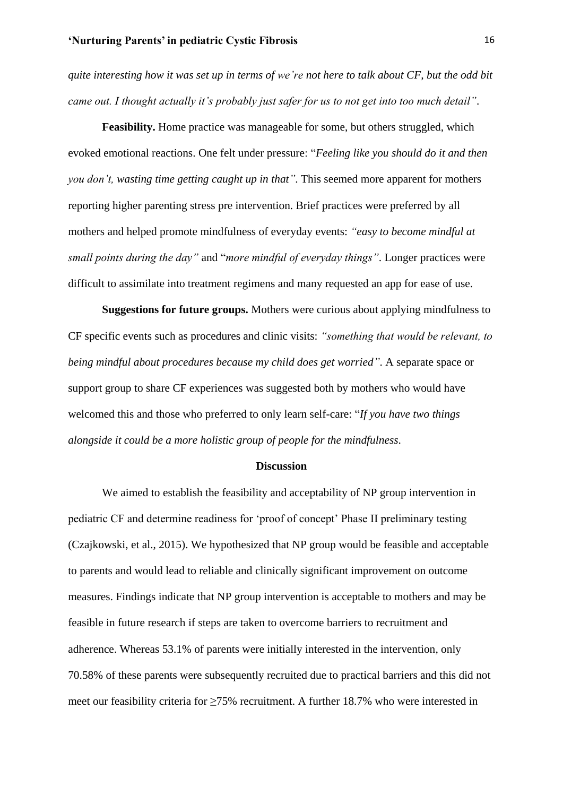*quite interesting how it was set up in terms of we're not here to talk about CF, but the odd bit came out. I thought actually it's probably just safer for us to not get into too much detail"*.

**Feasibility.** Home practice was manageable for some, but others struggled, which evoked emotional reactions. One felt under pressure: "*Feeling like you should do it and then you don't, wasting time getting caught up in that"*. This seemed more apparent for mothers reporting higher parenting stress pre intervention. Brief practices were preferred by all mothers and helped promote mindfulness of everyday events: *"easy to become mindful at small points during the day"* and "*more mindful of everyday things"*. Longer practices were difficult to assimilate into treatment regimens and many requested an app for ease of use.

**Suggestions for future groups.** Mothers were curious about applying mindfulness to CF specific events such as procedures and clinic visits: *"something that would be relevant, to being mindful about procedures because my child does get worried"*. A separate space or support group to share CF experiences was suggested both by mothers who would have welcomed this and those who preferred to only learn self-care: "*If you have two things alongside it could be a more holistic group of people for the mindfulness*.

#### **Discussion**

We aimed to establish the feasibility and acceptability of NP group intervention in pediatric CF and determine readiness for 'proof of concept' Phase II preliminary testing (Czajkowski, et al., 2015). We hypothesized that NP group would be feasible and acceptable to parents and would lead to reliable and clinically significant improvement on outcome measures. Findings indicate that NP group intervention is acceptable to mothers and may be feasible in future research if steps are taken to overcome barriers to recruitment and adherence. Whereas 53.1% of parents were initially interested in the intervention, only 70.58% of these parents were subsequently recruited due to practical barriers and this did not meet our feasibility criteria for ≥75% recruitment. A further 18.7% who were interested in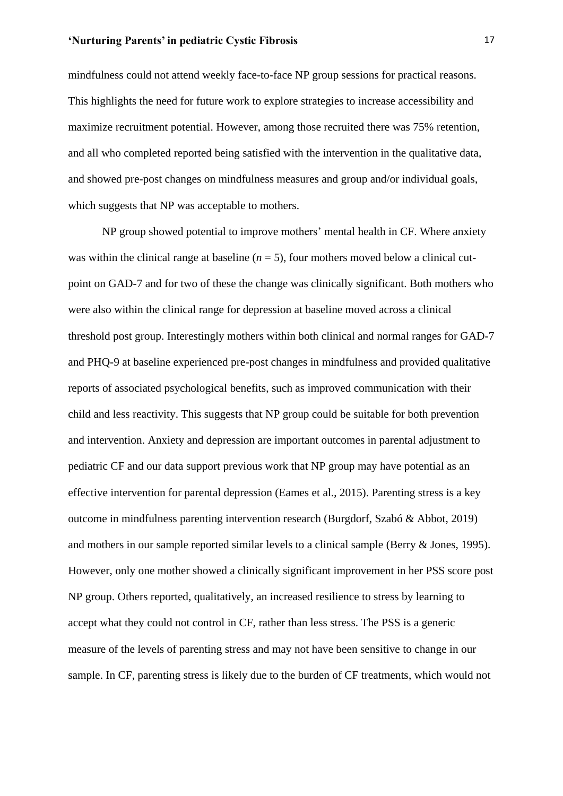mindfulness could not attend weekly face-to-face NP group sessions for practical reasons. This highlights the need for future work to explore strategies to increase accessibility and maximize recruitment potential. However, among those recruited there was 75% retention, and all who completed reported being satisfied with the intervention in the qualitative data, and showed pre-post changes on mindfulness measures and group and/or individual goals, which suggests that NP was acceptable to mothers.

NP group showed potential to improve mothers' mental health in CF. Where anxiety was within the clinical range at baseline  $(n = 5)$ , four mothers moved below a clinical cutpoint on GAD-7 and for two of these the change was clinically significant. Both mothers who were also within the clinical range for depression at baseline moved across a clinical threshold post group. Interestingly mothers within both clinical and normal ranges for GAD-7 and PHQ-9 at baseline experienced pre-post changes in mindfulness and provided qualitative reports of associated psychological benefits, such as improved communication with their child and less reactivity. This suggests that NP group could be suitable for both prevention and intervention. Anxiety and depression are important outcomes in parental adjustment to pediatric CF and our data support previous work that NP group may have potential as an effective intervention for parental depression (Eames et al., 2015). Parenting stress is a key outcome in mindfulness parenting intervention research (Burgdorf, Szabó & Abbot, 2019) and mothers in our sample reported similar levels to a clinical sample (Berry & Jones, 1995). However, only one mother showed a clinically significant improvement in her PSS score post NP group. Others reported, qualitatively, an increased resilience to stress by learning to accept what they could not control in CF, rather than less stress. The PSS is a generic measure of the levels of parenting stress and may not have been sensitive to change in our sample. In CF, parenting stress is likely due to the burden of CF treatments, which would not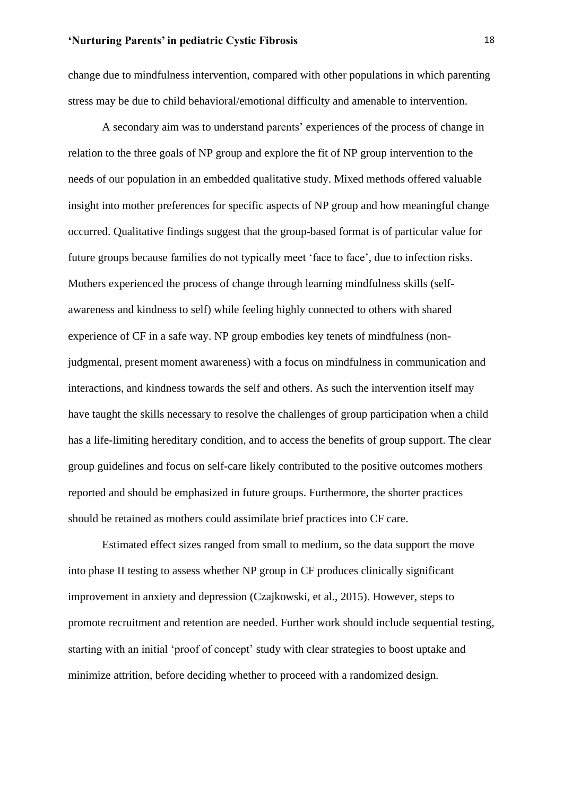change due to mindfulness intervention, compared with other populations in which parenting stress may be due to child behavioral/emotional difficulty and amenable to intervention.

A secondary aim was to understand parents' experiences of the process of change in relation to the three goals of NP group and explore the fit of NP group intervention to the needs of our population in an embedded qualitative study. Mixed methods offered valuable insight into mother preferences for specific aspects of NP group and how meaningful change occurred. Qualitative findings suggest that the group-based format is of particular value for future groups because families do not typically meet 'face to face', due to infection risks. Mothers experienced the process of change through learning mindfulness skills (selfawareness and kindness to self) while feeling highly connected to others with shared experience of CF in a safe way. NP group embodies key tenets of mindfulness (nonjudgmental, present moment awareness) with a focus on mindfulness in communication and interactions, and kindness towards the self and others. As such the intervention itself may have taught the skills necessary to resolve the challenges of group participation when a child has a life-limiting hereditary condition, and to access the benefits of group support. The clear group guidelines and focus on self-care likely contributed to the positive outcomes mothers reported and should be emphasized in future groups. Furthermore, the shorter practices should be retained as mothers could assimilate brief practices into CF care.

Estimated effect sizes ranged from small to medium, so the data support the move into phase II testing to assess whether NP group in CF produces clinically significant improvement in anxiety and depression (Czajkowski, et al., 2015). However, steps to promote recruitment and retention are needed. Further work should include sequential testing, starting with an initial 'proof of concept' study with clear strategies to boost uptake and minimize attrition, before deciding whether to proceed with a randomized design.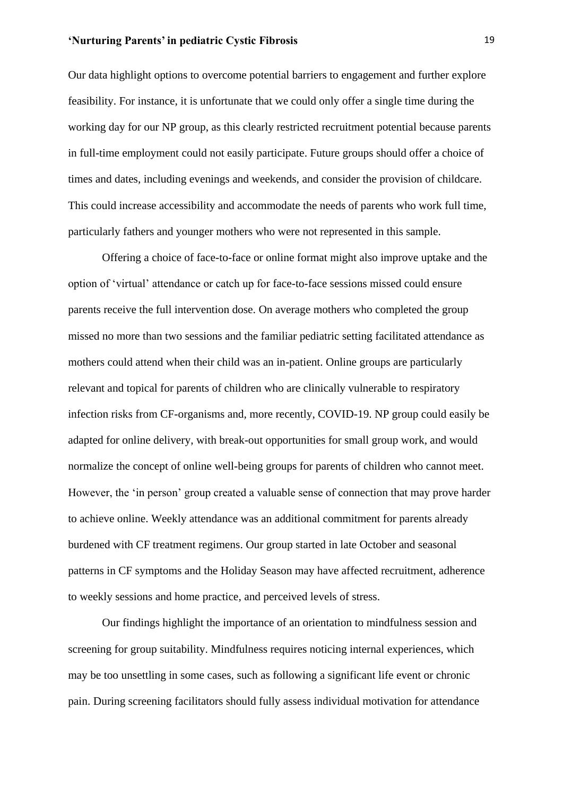Our data highlight options to overcome potential barriers to engagement and further explore feasibility. For instance, it is unfortunate that we could only offer a single time during the working day for our NP group, as this clearly restricted recruitment potential because parents in full-time employment could not easily participate. Future groups should offer a choice of times and dates, including evenings and weekends, and consider the provision of childcare. This could increase accessibility and accommodate the needs of parents who work full time, particularly fathers and younger mothers who were not represented in this sample.

Offering a choice of face-to-face or online format might also improve uptake and the option of 'virtual' attendance or catch up for face-to-face sessions missed could ensure parents receive the full intervention dose. On average mothers who completed the group missed no more than two sessions and the familiar pediatric setting facilitated attendance as mothers could attend when their child was an in-patient. Online groups are particularly relevant and topical for parents of children who are clinically vulnerable to respiratory infection risks from CF-organisms and, more recently, COVID-19. NP group could easily be adapted for online delivery, with break-out opportunities for small group work, and would normalize the concept of online well-being groups for parents of children who cannot meet. However, the 'in person' group created a valuable sense of connection that may prove harder to achieve online. Weekly attendance was an additional commitment for parents already burdened with CF treatment regimens. Our group started in late October and seasonal patterns in CF symptoms and the Holiday Season may have affected recruitment, adherence to weekly sessions and home practice, and perceived levels of stress.

Our findings highlight the importance of an orientation to mindfulness session and screening for group suitability. Mindfulness requires noticing internal experiences, which may be too unsettling in some cases, such as following a significant life event or chronic pain. During screening facilitators should fully assess individual motivation for attendance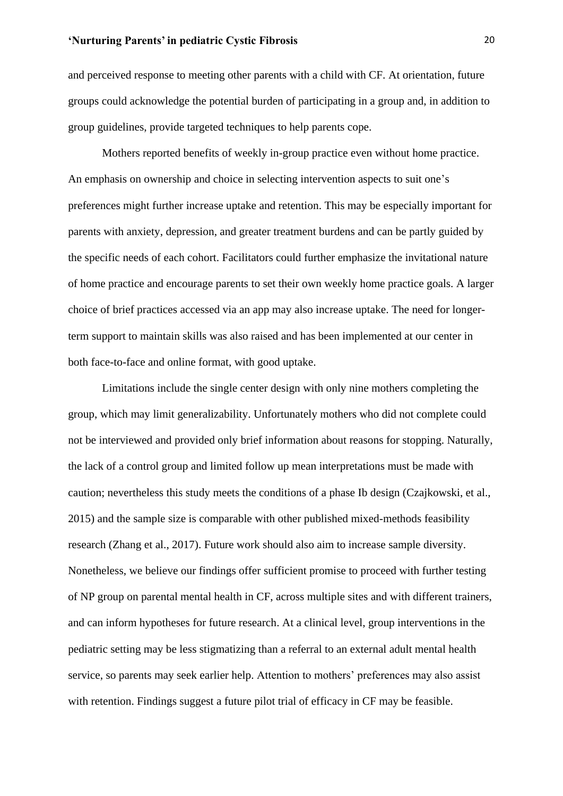and perceived response to meeting other parents with a child with CF. At orientation, future groups could acknowledge the potential burden of participating in a group and, in addition to group guidelines, provide targeted techniques to help parents cope.

Mothers reported benefits of weekly in-group practice even without home practice. An emphasis on ownership and choice in selecting intervention aspects to suit one's preferences might further increase uptake and retention. This may be especially important for parents with anxiety, depression, and greater treatment burdens and can be partly guided by the specific needs of each cohort. Facilitators could further emphasize the invitational nature of home practice and encourage parents to set their own weekly home practice goals. A larger choice of brief practices accessed via an app may also increase uptake. The need for longerterm support to maintain skills was also raised and has been implemented at our center in both face-to-face and online format, with good uptake.

Limitations include the single center design with only nine mothers completing the group, which may limit generalizability. Unfortunately mothers who did not complete could not be interviewed and provided only brief information about reasons for stopping. Naturally, the lack of a control group and limited follow up mean interpretations must be made with caution; nevertheless this study meets the conditions of a phase Ib design (Czajkowski, et al., 2015) and the sample size is comparable with other published mixed-methods feasibility research (Zhang et al., 2017). Future work should also aim to increase sample diversity. Nonetheless, we believe our findings offer sufficient promise to proceed with further testing of NP group on parental mental health in CF, across multiple sites and with different trainers, and can inform hypotheses for future research. At a clinical level, group interventions in the pediatric setting may be less stigmatizing than a referral to an external adult mental health service, so parents may seek earlier help. Attention to mothers' preferences may also assist with retention. Findings suggest a future pilot trial of efficacy in CF may be feasible.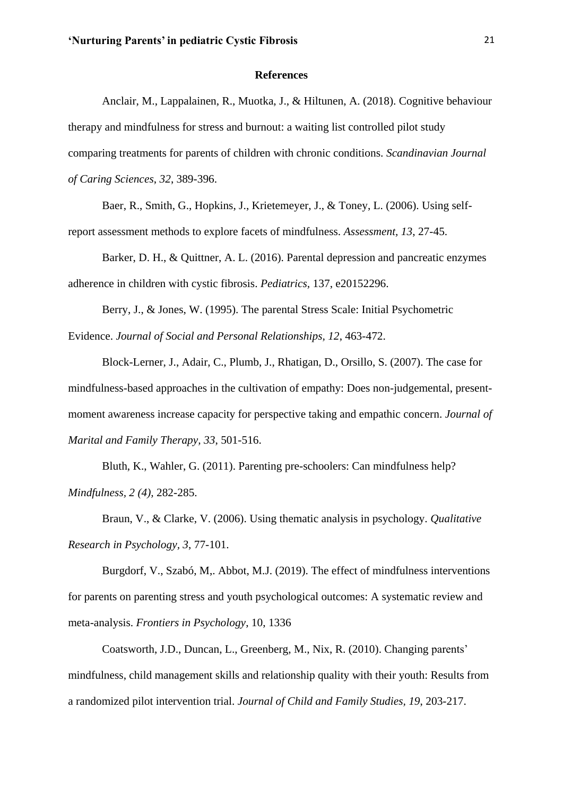#### **References**

Anclair, M., Lappalainen, R., Muotka, J., & Hiltunen, A. (2018). Cognitive behaviour therapy and mindfulness for stress and burnout: a waiting list controlled pilot study comparing treatments for parents of children with chronic conditions. *Scandinavian Journal of Caring Sciences*, *32*, 389-396.

Baer, R., Smith, G., Hopkins, J., Krietemeyer, J., & Toney, L. (2006). Using selfreport assessment methods to explore facets of mindfulness. *Assessment, 13*, 27-45.

Barker, D. H., & Quittner, A. L. (2016). Parental depression and pancreatic enzymes adherence in children with cystic fibrosis. *Pediatrics,* 137, e20152296.

Berry, J., & Jones, W. (1995). The parental Stress Scale: Initial Psychometric Evidence. *Journal of Social and Personal Relationships, 12*, 463-472.

Block-Lerner, J., Adair, C., Plumb, J., Rhatigan, D., Orsillo, S. (2007). The case for mindfulness-based approaches in the cultivation of empathy: Does non-judgemental, presentmoment awareness increase capacity for perspective taking and empathic concern. *Journal of Marital and Family Therapy, 33*, 501-516.

Bluth, K., Wahler, G. (2011). Parenting pre-schoolers: Can mindfulness help? *Mindfulness, 2 (4),* 282-285.

Braun, V., & Clarke, V. (2006). Using thematic analysis in psychology. *Qualitative Research in Psychology, 3*, 77-101.

Burgdorf, V., Szabó, M,. Abbot, M.J. (2019). The effect of mindfulness interventions for parents on parenting stress and youth psychological outcomes: A systematic review and meta-analysis. *Frontiers in Psychology*, 10, 1336

Coatsworth, J.D., Duncan, L., Greenberg, M., Nix, R. (2010). Changing parents' mindfulness, child management skills and relationship quality with their youth: Results from a randomized pilot intervention trial. *Journal of Child and Family Studies, 19*, 203-217.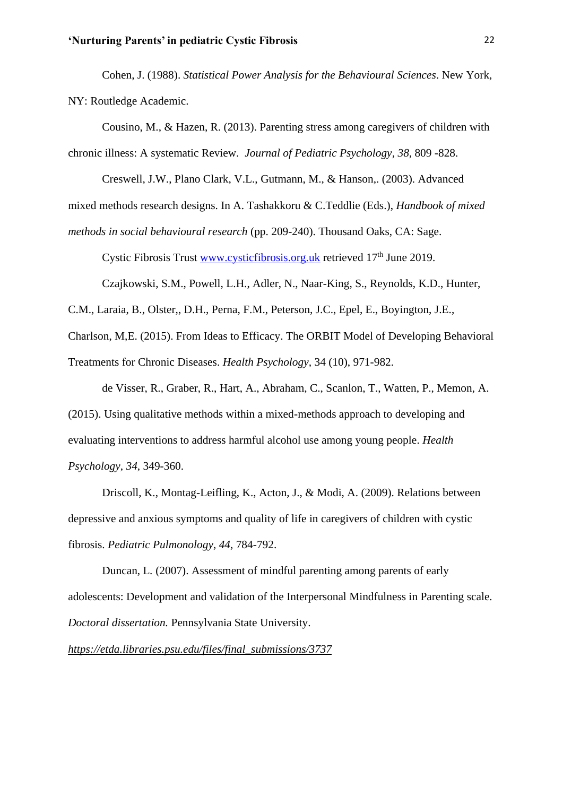Cohen, J. (1988). *Statistical Power Analysis for the Behavioural Sciences*. New York, NY: Routledge Academic.

Cousino, M., & Hazen, R. (2013). Parenting stress among caregivers of children with chronic illness: A systematic Review. *Journal of Pediatric Psychology, 38,* 809 -828.

Creswell, J.W., Plano Clark, V.L., Gutmann, M., & Hanson,. (2003). Advanced

mixed methods research designs. In A. Tashakkoru & C.Teddlie (Eds.), *Handbook of mixed* 

*methods in social behavioural research* (pp. 209-240). Thousand Oaks, CA: Sage.

Cystic Fibrosis Trust [www.cysticfibrosis.org.uk](http://www.cysticfibrosis.org.uk/) retrieved  $17<sup>th</sup>$  June 2019.

Czajkowski, S.M., Powell, L.H., Adler, N., Naar-King, S., Reynolds, K.D., Hunter,

C.M., Laraia, B., Olster,, D.H., Perna, F.M., Peterson, J.C., Epel, E., Boyington, J.E.,

Charlson, M,E. (2015). From Ideas to Efficacy. The ORBIT Model of Developing Behavioral

Treatments for Chronic Diseases. *Health Psychology,* 34 (10), 971-982.

de Visser, R., Graber, R., Hart, A., Abraham, C., Scanlon, T., Watten, P., Memon, A. (2015). Using qualitative methods within a mixed-methods approach to developing and evaluating interventions to address harmful alcohol use among young people. *Health Psychology*, *34*, 349-360.

Driscoll, K., Montag-Leifling, K., Acton, J., & Modi, A. (2009). Relations between depressive and anxious symptoms and quality of life in caregivers of children with cystic fibrosis. *Pediatric Pulmonology*, *44*, 784-792.

Duncan, L*.* (2007). Assessment of mindful parenting among parents of early adolescents: Development and validation of the Interpersonal Mindfulness in Parenting scale*. Doctoral dissertation.* Pennsylvania State University.

*[https://etda.libraries.psu.edu/files/final\\_submissions/3737](https://etda.libraries.psu.edu/files/final_submissions/3737)*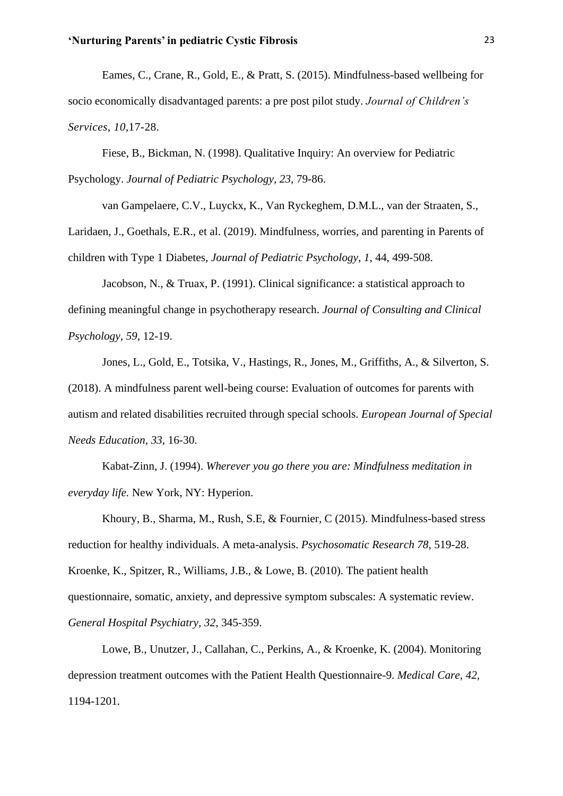Eames, C., Crane, R., Gold, E., & Pratt, S. (2015). Mindfulness-based wellbeing for socio economically disadvantaged parents: a pre post pilot study. *Journal of Children's Services, 10,*17-28.

Fiese, B., Bickman, N. (1998). Qualitative Inquiry: An overview for Pediatric Psychology. *Journal of Pediatric Psychology*, *23*, 79-86.

 van Gampelaere, C.V., Luyckx, K., Van Ryckeghem, D.M.L., van der Straaten, S., Laridaen, J., Goethals, E.R., et al. (2019). Mindfulness, worries, and parenting in Parents of children with Type 1 Diabetes, *Journal of Pediatric Psychology*, *1*, 44, 499-508.

Jacobson, N., & Truax, P. (1991). Clinical significance: a statistical approach to defining meaningful change in psychotherapy research. *Journal of Consulting and Clinical Psychology, 59*, 12-19.

Jones, L., Gold, E., Totsika, V., Hastings, R., Jones, M., Griffiths, A., & Silverton, S. (2018). A mindfulness parent well-being course: Evaluation of outcomes for parents with autism and related disabilities recruited through special schools. *European Journal of Special Needs Education, 33*, 16-30.

Kabat-Zinn, J. (1994). *Wherever you go there you are: Mindfulness meditation in everyday life.* New York, NY: Hyperion.

Khoury, B., Sharma, M., Rush, S.E, & Fournier, C (2015). Mindfulness-based stress reduction for healthy individuals. A meta-analysis. *Psychosomatic Research 78*, 519-28. Kroenke, K., Spitzer, R., Williams, J.B., & Lowe, B. (2010). The patient health questionnaire, somatic, anxiety, and depressive symptom subscales: A systematic review. *General Hospital Psychiatry, 32*, 345-359.

Lowe, B., Unutzer, J., Callahan, C., Perkins, A., & Kroenke, K. (2004). Monitoring depression treatment outcomes with the Patient Health Questionnaire-9. *Medical Care, 42,* 1194-1201.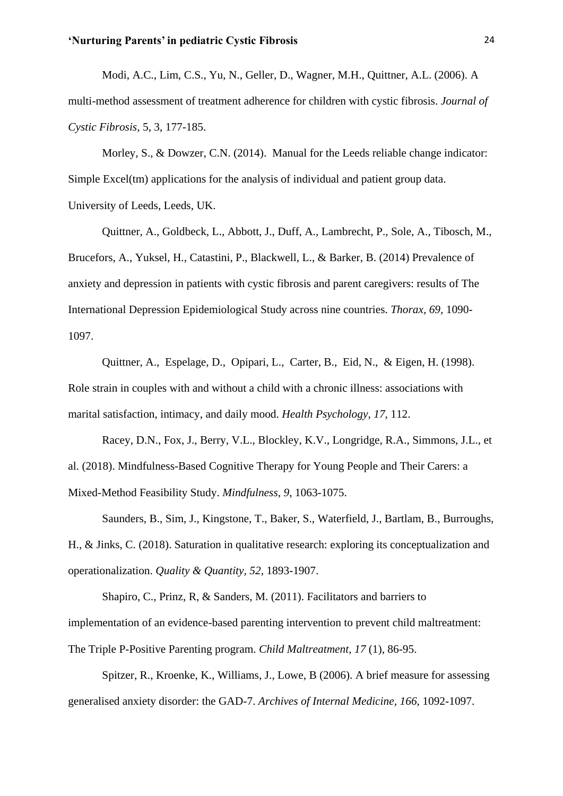Modi, A.C., Lim, C.S., Yu, N., Geller, D., Wagner, M.H., Quittner, A.L. (2006). A multi-method assessment of treatment adherence for children with cystic fibrosis. *Journal of Cystic Fibrosis,* 5, 3, 177-185.

Morley, S., & Dowzer, C.N. (2014). Manual for the Leeds reliable change indicator: Simple Excel(tm) applications for the analysis of individual and patient group data. University of Leeds, Leeds, UK.

Quittner, A., Goldbeck, L., Abbott, J., Duff, A., Lambrecht, P., Sole, A., Tibosch, M., Brucefors, A., Yuksel, H., Catastini, P., Blackwell, L., & Barker, B. (2014) Prevalence of anxiety and depression in patients with cystic fibrosis and parent caregivers: results of The International Depression Epidemiological Study across nine countries. *Thorax, 69,* 1090- 1097.

Quittner, A., Espelage, D., Opipari, L., Carter, B., Eid, N., & Eigen, H. (1998). Role strain in couples with and without a child with a chronic illness: associations with marital satisfaction, intimacy, and daily mood. *Health Psychology, 17*, 112.

Racey, D.N., Fox, J., Berry, V.L., Blockley, K.V., Longridge, R.A., Simmons, J.L., et al. (2018). Mindfulness-Based Cognitive Therapy for Young People and Their Carers: a Mixed-Method Feasibility Study. *Mindfulness*, *9*, 1063-1075.

Saunders, B., Sim, J., Kingstone, T., Baker, S., Waterfield, J., Bartlam, B., Burroughs, H., & Jinks, C. (2018). Saturation in qualitative research: exploring its conceptualization and operationalization. *Quality & Quantity, 52*, 1893-1907.

Shapiro, C., Prinz, R, & Sanders, M. (2011). Facilitators and barriers to implementation of an evidence-based parenting intervention to prevent child maltreatment: The Triple P-Positive Parenting program. *Child Maltreatment, 17* (1), 86-95.

Spitzer, R., Kroenke, K., Williams, J., Lowe, B (2006). A brief measure for assessing generalised anxiety disorder: the GAD-7. *Archives of Internal Medicine, 166*, 1092-1097.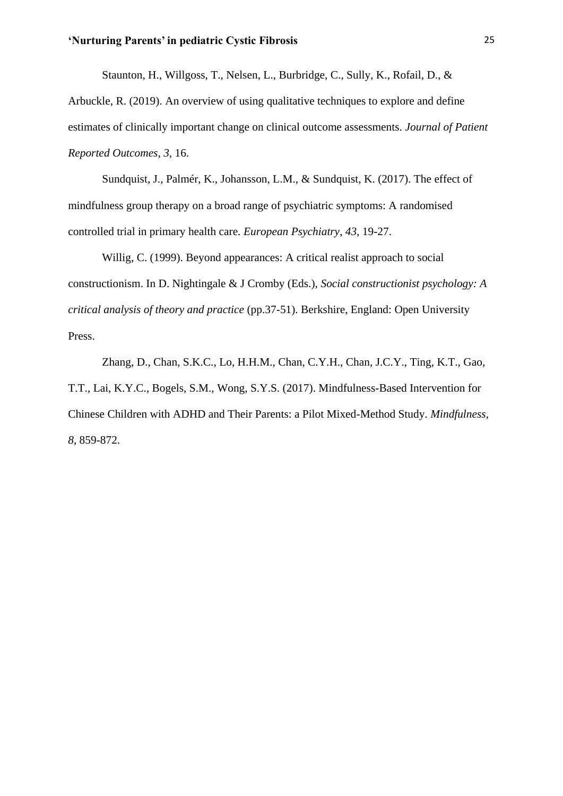Staunton, H., Willgoss, T., Nelsen, L., Burbridge, C., Sully, K., Rofail, D., &

Arbuckle, R. (2019). An overview of using qualitative techniques to explore and define estimates of clinically important change on clinical outcome assessments. *Journal of Patient Reported Outcomes, 3,* 16.

Sundquist, J., Palmér, K., Johansson, L.M., & Sundquist, K. (2017). The effect of mindfulness group therapy on a broad range of psychiatric symptoms: A randomised controlled trial in primary health care. *European Psychiatry*, *43*, 19-27.

Willig, C. (1999). Beyond appearances: A critical realist approach to social constructionism. In D. Nightingale & J Cromby (Eds.), *Social constructionist psychology: A critical analysis of theory and practice* (pp.37-51). Berkshire, England: Open University Press.

Zhang, D., Chan, S.K.C., Lo, H.H.M., Chan, C.Y.H., Chan, J.C.Y., Ting, K.T., Gao, T.T., Lai, K.Y.C., Bogels, S.M., Wong, S.Y.S. (2017). Mindfulness-Based Intervention for Chinese Children with ADHD and Their Parents: a Pilot Mixed-Method Study. *Mindfulness, 8*, 859-872.